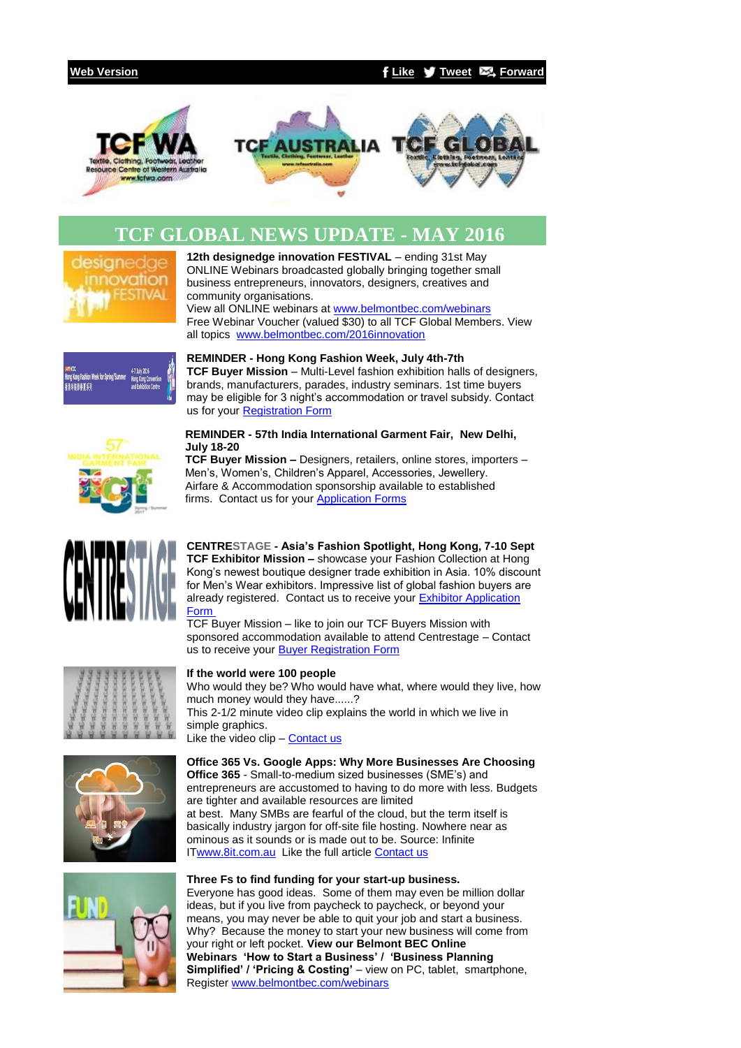### **[Web Version](http://bbec.bridgewaymailer.com/t/j-e-kyhtjlk-l-y/) [Like](http://bbec.createsend.com/t/j-fb-kyhtjlk-l-h/?act=wv) [Tweet](http://bbec.bridgewaymailer.com/t/j-tw-kyhtjlk-l-u/) [Forward](http://belmontbec.forwardtomyfriend.com/j-l-2AD73FFF-kyhtjlk-l-b)**



# **TCF GLOBAL NEWS UPDATE - MAY 2016**



**12th designedge innovation FESTIVAL** – ending 31st May ONLINE Webinars broadcasted globally bringing together small business entrepreneurs, innovators, designers, creatives and community organisations. View all ONLINE webinars at [www.belmontbec.com/webinars](http://bbec.bridgewaymailer.com/t/j-l-kyhtjlk-l-p/)

Free Webinar Voucher (valued \$30) to all TCF Global Members. View all topics [www.belmontbec.com/2016innovation](http://bbec.bridgewaymailer.com/t/j-l-kyhtjlk-l-x/)



**REMINDER - Hong Kong Fashion Week, July 4th-7th TCF Buyer Mission** – Multi-Level fashion exhibition halls of designers, brands, manufacturers, parades, industry seminars. 1st time buyers may be eligible for 3 night's accommodation or travel subsidy. Contact us for your [Registration Form](mailto:events@tcfwa.com?subject=Re%3A%20Hong%20Kong%20Fashion%20Week%2C%20July%204th-7th)



**REMINDER - 57th India International Garment Fair, New Delhi, July 18-20**

**TCF Buyer Mission –** Designers, retailers, online stores, importers – Men's, Women's, Children's Apparel, Accessories, Jewellery. Airfare & Accommodation sponsorship available to established firms. Contact us for your [Application Forms](mailto:events@tcfwa.com?subject=Re%3A%20REMINDER%20-%2057th%20India%20International%20Garment%20Fair%2C%20%20New%20Delhi%2C%20July%2018-20)



**CENTRESTAGE - Asia's Fashion Spotlight, Hong Kong, 7-10 Sept TCF Exhibitor Mission –** showcase your Fashion Collection at Hong Kong's newest boutique designer trade exhibition in Asia. 10% discount for Men's Wear exhibitors. Impressive list of global fashion buyers are already registered. Contact us to receive your [Exhibitor Application](mailto:events@tcfwa.com?subject=Re%3A%20Exhibitor%20Application%20Form%20-CENTRESTAGE%20-%20Asia%E2%80%99s%20Fashion%20Spotlight%2C%20Hong%20Kong%2C%207-10%20Sept)  [Form](mailto:events@tcfwa.com?subject=Re%3A%20Exhibitor%20Application%20Form%20-CENTRESTAGE%20-%20Asia%E2%80%99s%20Fashion%20Spotlight%2C%20Hong%20Kong%2C%207-10%20Sept)

TCF Buyer Mission – like to join our TCF Buyers Mission with sponsored accommodation available to attend Centrestage – Contact us to receive your [Buyer Registration Form](mailto:events@tcfwa.com?subject=Re%3A%20Buyer%20Registration%20Form%20-%20CENTRESTAGE%20-%20Asia%E2%80%99s%20Fashion%20Spotlight%2C%20Hong%20Kong%2C%207-10%20Sept)



### **If the world were 100 people**

Who would they be? Who would have what, where would they live, how much money would they have......? This 2-1/2 minute video clip explains the world in which we live in simple graphics. Like the video clip – [Contact us](mailto:training@belmontbec.com?subject=Re%3A%20If%20the%20world%20were%20100%20people)





#### **Office 365 Vs. Google Apps: Why More Businesses Are Choosing Office 365** - Small-to-medium sized businesses (SME's) and entrepreneurs are accustomed to having to do more with less. Budgets are tighter and available resources are limited at best. Many SMBs are fearful of the cloud, but the term itself is basically industry jargon for off-site file hosting. Nowhere near as ominous as it sounds or is made out to be. Source: Infinite I[Twww.8it.com.au](http://bbec.bridgewaymailer.com/t/j-l-kyhtjlk-l-m/) Like the full article [Contact us](mailto:training@belmontbec.com?subject=Re%3A%20Office%20365%20Vs.%20Google%20Apps%3A%20Why%20More%20Businesses%20Are%20Choosing%20Office%20365)

#### **Three Fs to find funding for your start-up business.** Everyone has good ideas. Some of them may even be million dollar ideas, but if you live from paycheck to paycheck, or beyond your means, you may never be able to quit your job and start a business. Why? Because the money to start your new business will come from your right or left pocket. **View our Belmont BEC Online Webinars 'How to Start a Business' / 'Business Planning Simplified' / 'Pricing & Costing'** – view on PC, tablet, smartphone, Register [www.belmontbec.com/webinars](http://bbec.bridgewaymailer.com/t/j-l-kyhtjlk-l-c/)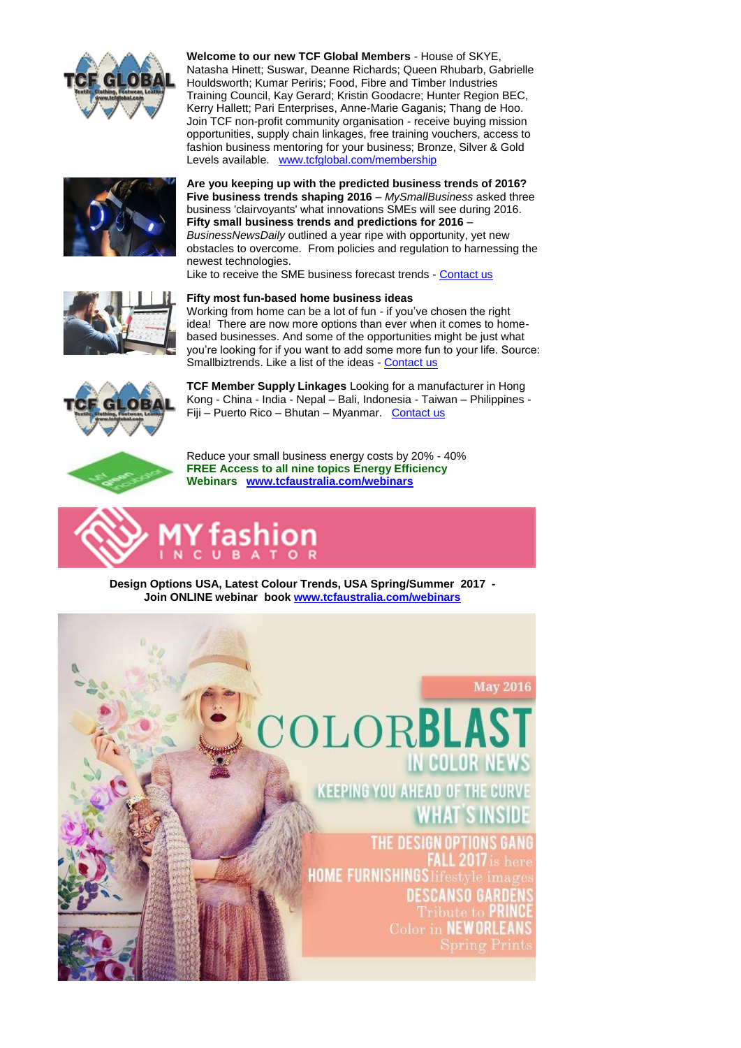

**Welcome to our new TCF Global Members** - House of SKYE, Natasha Hinett; Suswar, Deanne Richards; Queen Rhubarb, Gabrielle Houldsworth; Kumar Periris; Food, Fibre and Timber Industries Training Council, Kay Gerard; Kristin Goodacre; Hunter Region BEC, Kerry Hallett; Pari Enterprises, Anne-Marie Gaganis; Thang de Hoo. Join TCF non-profit community organisation - receive buying mission opportunities, supply chain linkages, free training vouchers, access to fashion business mentoring for your business; Bronze, Silver & Gold Levels available. [www.tcfglobal.com/membership](http://bbec.bridgewaymailer.com/t/j-l-kyhtjlk-l-q/)



**Are you keeping up with the predicted business trends of 2016? Five business trends shaping 2016** – *MySmallBusiness* asked three business 'clairvoyants' what innovations SMEs will see during 2016. **Fifty small business trends and predictions for 2016** – *BusinessNewsDaily* outlined a year ripe with opportunity, yet new obstacles to overcome. From policies and regulation to harnessing the newest technologies.

Like to receive the SME business forecast trends - [Contact us](mailto:training@belmontbec.com?subject=R%3A%20Are%20you%20keeping%20up%20with%20the%20predicted%20business%20trends%20of%202016%3F)



#### **Fifty most fun-based home business ideas**

Working from home can be a lot of fun - if you've chosen the right idea! There are now more options than ever when it comes to homebased businesses. And some of the opportunities might be just what you're looking for if you want to add some more fun to your life. Source: Smallbiztrends. Like a list of the ideas - [Contact us](mailto:training@belmontbec.com?subject=R%3A%20Fifty%20most%20fun-based%20home%20business%20ideas)



**TCF Member Supply Linkages** Looking for a manufacturer in Hong Kong - China - India - Nepal – Bali, Indonesia - Taiwan – Philippines - Fiji – Puerto Rico – Bhutan – Myanmar. [Contact us](mailto:support@tcfwa.com?subject=Re%3A%20TCF%20Member%20Supply%20Linkages)



Reduce your small business energy costs by 20% - 40% **FREE Access to all nine topics Energy Efficiency Webinars [www.tcfaustralia.com/webinars](http://bbec.bridgewaymailer.com/t/j-l-kyhtjlk-l-a/)**



**Design Options USA, Latest Colour Trends, USA Spring/Summer 2017 - Join ONLINE webinar book [www.tcfaustralia.com/webinars](http://bbec.bridgewaymailer.com/t/j-l-kyhtjlk-l-f/)**

## **May 2016**

HOLDE.

(EEPING YOU AHEAD OF THE CUR)

**THE DESIGI IOME FURNISHINGS Lifestyl** DESCANSO GA

Color in NEWOR

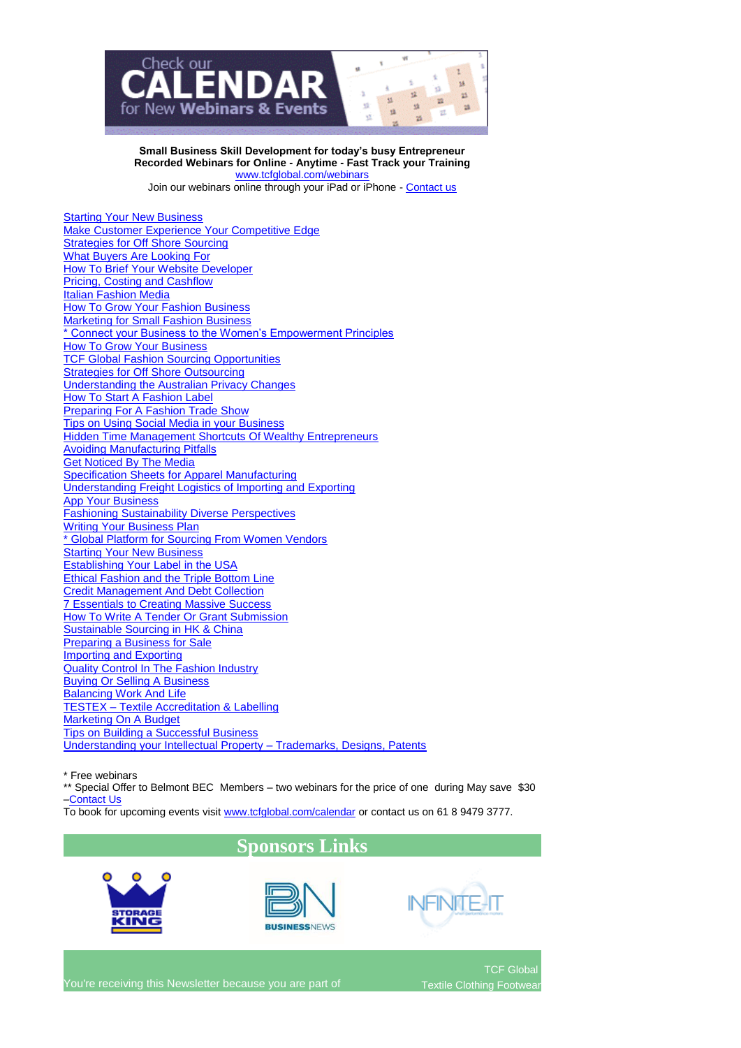

**Small Business Skill Development for today's busy Entrepreneur Recorded Webinars for Online - Anytime - Fast Track your Training** [www.tcfglobal.com/webinars](http://bbec.bridgewaymailer.com/t/j-l-kyhtjlk-l-z/)

Join our webinars online through your iPad or iPhone - [Contact us](mailto:support@belmontbec.com?subject=Question%20-%20how%20to%20access%20the%20webinar%20on%20iPad%20or%20iPhone)

[Starting Your New Business](http://bbec.bridgewaymailer.com/t/j-l-kyhtjlk-l-v/) [Make Customer Experience Your Competitive Edge](http://bbec.bridgewaymailer.com/t/j-l-kyhtjlk-l-v/) **[Strategies for Off Shore Sourcing](http://bbec.bridgewaymailer.com/t/j-l-kyhtjlk-l-v/)** [What Buyers Are Looking For](http://bbec.bridgewaymailer.com/t/j-l-kyhtjlk-l-v/) [How To Brief Your Website Developer](http://bbec.bridgewaymailer.com/t/j-l-kyhtjlk-l-v/) [Pricing, Costing and Cashflow](http://bbec.bridgewaymailer.com/t/j-l-kyhtjlk-l-v/) [Italian Fashion Media](http://bbec.bridgewaymailer.com/t/j-l-kyhtjlk-l-v/) [How To Grow Your Fashion Business](http://bbec.bridgewaymailer.com/t/j-l-kyhtjlk-l-v/) **[Marketing for Small Fashion Business](http://bbec.bridgewaymailer.com/t/j-l-kyhtjlk-l-v/)** [\\* Connect your Business to the Women's Empowerment Principles](http://bbec.bridgewaymailer.com/t/j-l-kyhtjlk-l-v/) [How To Grow Your Business](http://bbec.bridgewaymailer.com/t/j-l-kyhtjlk-l-v/) **[TCF Global Fashion Sourcing Opportunities](http://bbec.bridgewaymailer.com/t/j-l-kyhtjlk-l-v/) [Strategies for Off Shore Outsourcing](http://bbec.bridgewaymailer.com/t/j-l-kyhtjlk-l-v/)** [Understanding the Australian Privacy Changes](http://bbec.bridgewaymailer.com/t/j-l-kyhtjlk-l-v/) [How To Start A Fashion Label](http://bbec.bridgewaymailer.com/t/j-l-kyhtjlk-l-v/) [Preparing For A Fashion Trade Show](http://bbec.bridgewaymailer.com/t/j-l-kyhtjlk-l-v/) [Tips on Using Social Media in your Business](http://bbec.bridgewaymailer.com/t/j-l-kyhtjlk-l-v/) [Hidden Time Management Shortcuts Of Wealthy Entrepreneurs](http://bbec.bridgewaymailer.com/t/j-l-kyhtjlk-l-v/) [Avoiding Manufacturing Pitfalls](http://bbec.bridgewaymailer.com/t/j-l-kyhtjlk-l-v/) [Get Noticed By The Media](http://bbec.bridgewaymailer.com/t/j-l-kyhtjlk-l-v/) [Specification Sheets for Apparel Manufacturing](http://bbec.bridgewaymailer.com/t/j-l-kyhtjlk-l-v/) [Understanding Freight Logistics of Importing and Exporting](http://bbec.bridgewaymailer.com/t/j-l-kyhtjlk-l-v/) [App Your Business](http://bbec.bridgewaymailer.com/t/j-l-kyhtjlk-l-v/) [Fashioning Sustainability Diverse Perspectives](http://bbec.bridgewaymailer.com/t/j-l-kyhtjlk-l-v/) [Writing Your Business Plan](http://bbec.bridgewaymailer.com/t/j-l-kyhtjlk-l-v/) [\\* Global Platform for Sourcing From Women Vendors](http://bbec.bridgewaymailer.com/t/j-l-kyhtjlk-l-v/) **Starting [Your New Business](http://bbec.bridgewaymailer.com/t/j-l-kyhtjlk-l-v/)** [Establishing Your Label in the USA](http://bbec.bridgewaymailer.com/t/j-l-kyhtjlk-l-v/) [Ethical Fashion and the Triple Bottom Line](http://bbec.bridgewaymailer.com/t/j-l-kyhtjlk-l-v/) [Credit Management And Debt Collection](http://bbec.bridgewaymailer.com/t/j-l-kyhtjlk-l-v/) [7 Essentials to Creating Massive Success](http://bbec.bridgewaymailer.com/t/j-l-kyhtjlk-l-v/) [How To Write A Tender Or Grant Submission](http://bbec.bridgewaymailer.com/t/j-l-kyhtjlk-l-v/) [Sustainable Sourcing in HK & China](http://bbec.bridgewaymailer.com/t/j-l-kyhtjlk-l-v/) [Preparing a Business for Sale](http://bbec.bridgewaymailer.com/t/j-l-kyhtjlk-l-v/) [Importing and Exporting](http://bbec.bridgewaymailer.com/t/j-l-kyhtjlk-l-v/) [Quality Control In The Fashion Industry](http://bbec.bridgewaymailer.com/t/j-l-kyhtjlk-l-v/) [Buying Or Selling A Business](http://bbec.bridgewaymailer.com/t/j-l-kyhtjlk-l-v/) [Balancing Work And Life](http://bbec.bridgewaymailer.com/t/j-l-kyhtjlk-l-v/) TESTEX – [Textile Accreditation & Labelling](http://bbec.bridgewaymailer.com/t/j-l-kyhtjlk-l-v/) [Marketing On A Budget](http://bbec.bridgewaymailer.com/t/j-l-kyhtjlk-l-v/) [Tips on Building a Successful Business](http://bbec.bridgewaymailer.com/t/j-l-kyhtjlk-l-v/) [Understanding your Intellectual Property –](http://bbec.bridgewaymailer.com/t/j-l-kyhtjlk-l-v/) Trademarks, Designs, Patents

\* Free webinars

\*\* Special Offer to Belmont BEC Members – two webinars for the price of one during May save \$30 [–Contact Us](mailto:training@belmontbec.com?subject=Re%3A%20two%20webinars%20for%20the%20price%20of%20one)

To book for upcoming events visit [www.tcfglobal.com/calendar](http://bbec.bridgewaymailer.com/t/j-l-kyhtjlk-l-e/) or contact us on 61 8 9479 3777.

# **Sponsors Links**